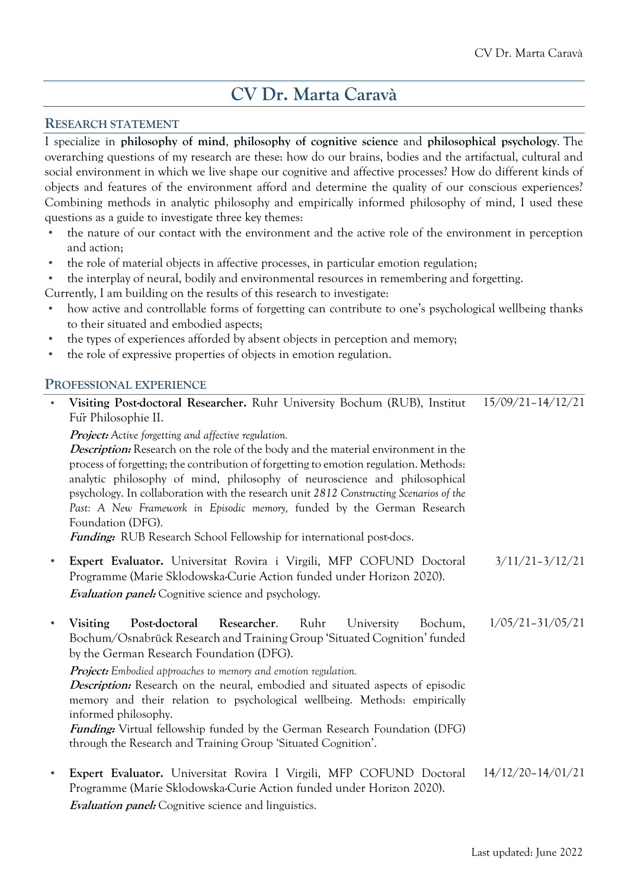# **CV Dr. Marta Caravà**

#### **RESEARCH STATEMENT**

I specialize in **philosophy of mind**, **philosophy of cognitive science** and **philosophical psychology**. The overarching questions of my research are these: how do our brains, bodies and the artifactual, cultural and social environment in which we live shape our cognitive and affective processes? How do different kinds of objects and features of the environment afford and determine the quality of our conscious experiences? Combining methods in analytic philosophy and empirically informed philosophy of mind, I used these questions as a guide to investigate three key themes:

- the nature of our contact with the environment and the active role of the environment in perception and action;
- the role of material objects in affective processes, in particular emotion regulation;
- the interplay of neural, bodily and environmental resources in remembering and forgetting.
- Currently, I am building on the results of this research to investigate:
- how active and controllable forms of forgetting can contribute to one's psychological wellbeing thanks to their situated and embodied aspects;
- the types of experiences afforded by absent objects in perception and memory;
- the role of expressive properties of objects in emotion regulation.

#### **PROFESSIONAL EXPERIENCE**

| Visiting Post-doctoral Researcher. Ruhr University Bochum (RUB), Institut<br>Fur Philosophie II.                                                                                                                                                                                                                                                                                                                                                                                                                                                                                                       | $15/09/21 - 14/12/21$ |
|--------------------------------------------------------------------------------------------------------------------------------------------------------------------------------------------------------------------------------------------------------------------------------------------------------------------------------------------------------------------------------------------------------------------------------------------------------------------------------------------------------------------------------------------------------------------------------------------------------|-----------------------|
| <b>Project:</b> Active forgetting and affective regulation.<br><i>Description:</i> Research on the role of the body and the material environment in the<br>process of forgetting; the contribution of forgetting to emotion regulation. Methods:<br>analytic philosophy of mind, philosophy of neuroscience and philosophical<br>psychology. In collaboration with the research unit 2812 Constructing Scenarios of the<br>Past: A New Framework in Episodic memory, funded by the German Research<br>Foundation (DFG).<br><b>Funding:</b> RUB Research School Fellowship for international post-docs. |                       |
| Expert Evaluator. Universitat Rovira i Virgili, MFP COFUND Doctoral<br>Programme (Marie Sklodowska-Curie Action funded under Horizon 2020).<br><b>Evaluation panel:</b> Cognitive science and psychology.                                                                                                                                                                                                                                                                                                                                                                                              | $3/11/21 - 3/12/21$   |

• **Visiting Post-doctoral Researcher**. Ruhr University Bochum, Bochum/Osnabrück Research and Training Group 'Situated Cognition' funded by the German Research Foundation (DFG). **Project:** *Embodied approaches to memory and emotion regulation.* 1/05/21–31/05/21

**Description:** Research on the neural, embodied and situated aspects of episodic memory and their relation to psychological wellbeing. Methods: empirically informed philosophy.

**Funding:** Virtual fellowship funded by the German Research Foundation (DFG) through the Research and Training Group 'Situated Cognition'.

• **Expert Evaluator.** Universitat Rovira I Virgili, MFP COFUND Doctoral Programme (Marie Sklodowska-Curie Action funded under Horizon 2020). **Evaluation panel:** Cognitive science and linguistics. 14/12/20–14/01/21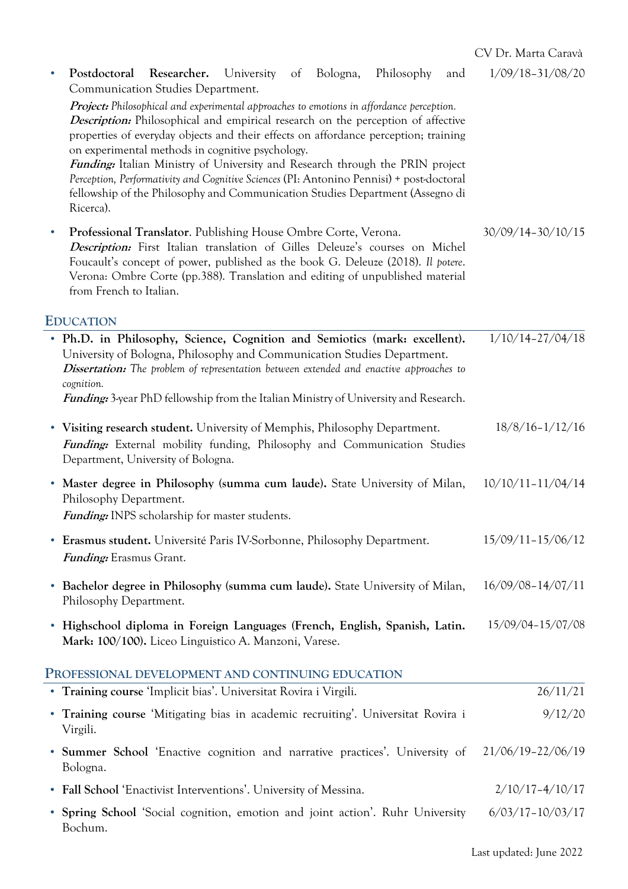|           | Postdoctoral Researcher. University of Bologna,<br>Philosophy<br>and<br>Communication Studies Department.                                                                                                                                                                                                                                                                                                                                                                                                                                                                                                               | $1/09/18 - 31/08/20$  |
|-----------|-------------------------------------------------------------------------------------------------------------------------------------------------------------------------------------------------------------------------------------------------------------------------------------------------------------------------------------------------------------------------------------------------------------------------------------------------------------------------------------------------------------------------------------------------------------------------------------------------------------------------|-----------------------|
|           | <b>Project:</b> Philosophical and experimental approaches to emotions in affordance perception.<br><i>Description:</i> Philosophical and empirical research on the perception of affective<br>properties of everyday objects and their effects on affordance perception; training<br>on experimental methods in cognitive psychology.<br><b>Funding:</b> Italian Ministry of University and Research through the PRIN project<br>Perception, Performativity and Cognitive Sciences (PI: Antonino Pennisi) + post-doctoral<br>fellowship of the Philosophy and Communication Studies Department (Assegno di<br>Ricerca). |                       |
| $\bullet$ | Professional Translator. Publishing House Ombre Corte, Verona.<br>Description: First Italian translation of Gilles Deleuze's courses on Michel<br>Foucault's concept of power, published as the book G. Deleuze (2018). Il potere.<br>Verona: Ombre Corte (pp.388). Translation and editing of unpublished material<br>from French to Italian.                                                                                                                                                                                                                                                                          | $30/09/14 - 30/10/15$ |
|           | <b>EDUCATION</b>                                                                                                                                                                                                                                                                                                                                                                                                                                                                                                                                                                                                        |                       |
|           | • Ph.D. in Philosophy, Science, Cognition and Semiotics (mark: excellent).<br>University of Bologna, Philosophy and Communication Studies Department.<br>Dissertation: The problem of representation between extended and enactive approaches to<br>cognition.                                                                                                                                                                                                                                                                                                                                                          | $1/10/14 - 27/04/18$  |
|           | <i>Funding:</i> 3-year PhD fellowship from the Italian Ministry of University and Research.                                                                                                                                                                                                                                                                                                                                                                                                                                                                                                                             |                       |
|           | • Visiting research student. University of Memphis, Philosophy Department.<br>Funding: External mobility funding, Philosophy and Communication Studies<br>Department, University of Bologna.                                                                                                                                                                                                                                                                                                                                                                                                                            | $18/8/16 - 1/12/16$   |
|           | • Master degree in Philosophy (summa cum laude). State University of Milan,<br>Philosophy Department.<br><i>Funding:</i> INPS scholarship for master students.                                                                                                                                                                                                                                                                                                                                                                                                                                                          | $10/10/11 - 11/04/14$ |
|           | • Erasmus student. Université Paris IV-Sorbonne, Philosophy Department.<br><b>Funding:</b> Erasmus Grant.                                                                                                                                                                                                                                                                                                                                                                                                                                                                                                               | $15/09/11 - 15/06/12$ |
|           | • Bachelor degree in Philosophy (summa cum laude). State University of Milan,<br>Philosophy Department.                                                                                                                                                                                                                                                                                                                                                                                                                                                                                                                 | $16/09/08 - 14/07/11$ |
|           | • Highschool diploma in Foreign Languages (French, English, Spanish, Latin.<br>Mark: 100/100). Liceo Linguistico A. Manzoni, Varese.                                                                                                                                                                                                                                                                                                                                                                                                                                                                                    | 15/09/04-15/07/08     |
|           | PROFESSIONAL DEVELOPMENT AND CONTINUING EDUCATION                                                                                                                                                                                                                                                                                                                                                                                                                                                                                                                                                                       |                       |
|           | • Training course 'Implicit bias'. Universitat Rovira i Virgili.                                                                                                                                                                                                                                                                                                                                                                                                                                                                                                                                                        | 26/11/21              |
|           | • Training course 'Mitigating bias in academic recruiting'. Universitat Rovira i<br>Virgili.                                                                                                                                                                                                                                                                                                                                                                                                                                                                                                                            | 9/12/20               |
|           | • Summer School 'Enactive cognition and narrative practices'. University of<br>Bologna.                                                                                                                                                                                                                                                                                                                                                                                                                                                                                                                                 | 21/06/19-22/06/19     |
|           | • Fall School 'Enactivist Interventions'. University of Messina.                                                                                                                                                                                                                                                                                                                                                                                                                                                                                                                                                        | $2/10/17 - 4/10/17$   |
|           | • Spring School 'Social cognition, emotion and joint action'. Ruhr University<br>Bochum.                                                                                                                                                                                                                                                                                                                                                                                                                                                                                                                                | $6/03/17 - 10/03/17$  |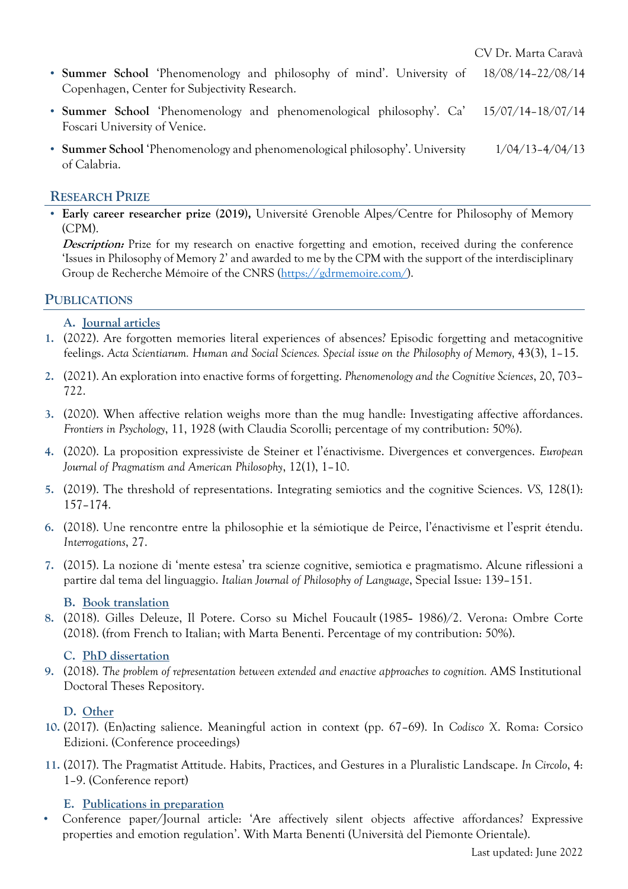- **Summer School** 'Phenomenology and philosophy of mind'. University of Copenhagen, Center for Subjectivity Research. 18/08/14–22/08/14
- **Summer School** 'Phenomenology and phenomenological philosophy'. Ca' Foscari University of Venice. 15/07/14–18/07/14
- **Summer School** 'Phenomenology and phenomenological philosophy'. University of Calabria. 1/04/13–4/04/13

#### **RESEARCH PRIZE**

• **Early career researcher prize (2019),** Université Grenoble Alpes/Centre for Philosophy of Memory (CPM).

**Description:** Prize for my research on enactive forgetting and emotion, received during the conference 'Issues in Philosophy of Memory 2' and awarded to me by the CPM with the support of the interdisciplinary Group de Recherche Mémoire of the CNRS (https://gdrmemoire.com/).

# **PUBLICATIONS**

#### **A. Journal articles**

- **1.** (2022). Are forgotten memories literal experiences of absences? Episodic forgetting and metacognitive feelings. *Acta Scientiarum. Human and Social Sciences. Special issue on the Philosophy of Memory,* 43(3), 1–15.
- **2.** (2021). An exploration into enactive forms of forgetting. *Phenomenology and the Cognitive Sciences*, 20, 703– 722.
- **3.** (2020). When affective relation weighs more than the mug handle: Investigating affective affordances. *Frontiers in Psychology*, 11, 1928 (with Claudia Scorolli; percentage of my contribution: 50%).
- **4.** (2020). La proposition expressiviste de Steiner et l'énactivisme. Divergences et convergences. *European Journal of Pragmatism and American Philosophy*, 12(1), 1–10.
- **5.** (2019). The threshold of representations. Integrating semiotics and the cognitive Sciences. *VS,* 128(1): 157–174.
- **6.** (2018). Une rencontre entre la philosophie et la sémiotique de Peirce, l'énactivisme et l'esprit étendu. *Interrogations*, 27.
- **7.** (2015). La nozione di 'mente estesa' tra scienze cognitive, semiotica e pragmatismo. Alcune riflessioni a partire dal tema del linguaggio. *Italian Journal of Philosophy of Language*, Special Issue: 139–151.

#### **B. Book translation**

8. (2018). Gilles Deleuze, Il Potere. Corso su Michel Foucault (1985- 1986)/2. Verona: Ombre Corte (2018). (from French to Italian; with Marta Benenti. Percentage of my contribution: 50%).

#### **C. PhD dissertation**

**9.** (2018). *The problem of representation between extended and enactive approaches to cognition.* AMS Institutional Doctoral Theses Repository.

#### **D. Other**

- **10.** (2017). (En)acting salience. Meaningful action in context (pp. 67–69). In *Codisco X*. Roma: Corsico Edizioni. (Conference proceedings)
- **11.** (2017). The Pragmatist Attitude. Habits, Practices, and Gestures in a Pluralistic Landscape. *In Circolo*, 4: 1–9. (Conference report)

#### **E. Publications in preparation**

• Conference paper/Journal article: 'Are affectively silent objects affective affordances? Expressive properties and emotion regulation'. With Marta Benenti (Università del Piemonte Orientale).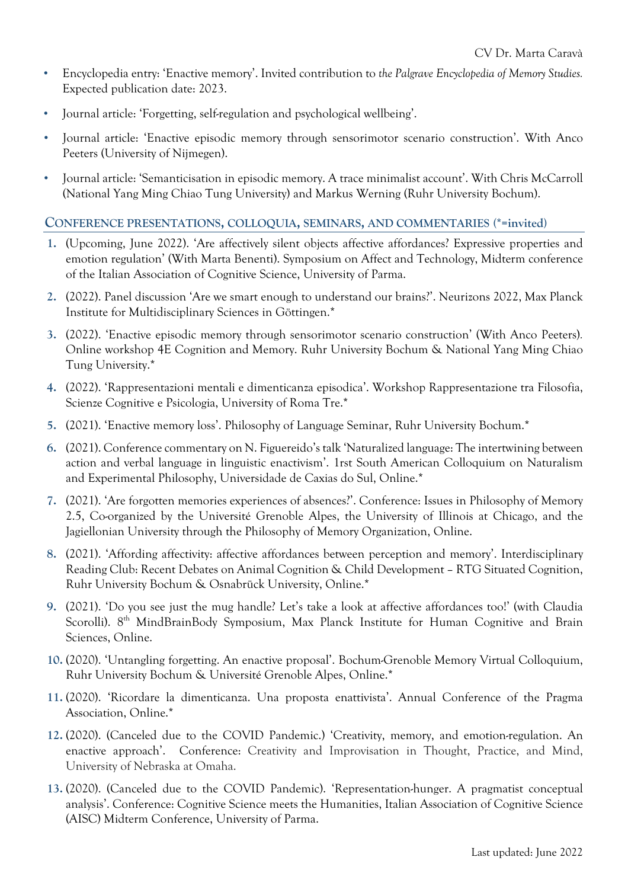- Encyclopedia entry: 'Enactive memory'. Invited contribution to *the Palgrave Encyclopedia of Memory Studies.*  Expected publication date: 2023.
- Journal article: 'Forgetting, self-regulation and psychological wellbeing'.
- Journal article: 'Enactive episodic memory through sensorimotor scenario construction'. With Anco Peeters (University of Nijmegen).
- Journal article: 'Semanticisation in episodic memory. A trace minimalist account'. With Chris McCarroll (National Yang Ming Chiao Tung University) and Markus Werning (Ruhr University Bochum).

# **CONFERENCE PRESENTATIONS, COLLOQUIA, SEMINARS, AND COMMENTARIES (\*=invited)**

- **1.** (Upcoming, June 2022). 'Are affectively silent objects affective affordances? Expressive properties and emotion regulation' (With Marta Benenti). Symposium on Affect and Technology, Midterm conference of the Italian Association of Cognitive Science, University of Parma.
- **2.** (2022). Panel discussion 'Are we smart enough to understand our brains?'. Neurizons 2022, Max Planck Institute for Multidisciplinary Sciences in Göttingen.\*
- **3.** (2022). 'Enactive episodic memory through sensorimotor scenario construction' (With Anco Peeters)*.*  Online workshop 4E Cognition and Memory. Ruhr University Bochum & National Yang Ming Chiao Tung University.\*
- **4.** (2022). 'Rappresentazioni mentali e dimenticanza episodica'. Workshop Rappresentazione tra Filosofia, Scienze Cognitive e Psicologia, University of Roma Tre.\*
- **5.** (2021). 'Enactive memory loss'. Philosophy of Language Seminar, Ruhr University Bochum.\*
- **6.** (2021). Conference commentary on N. Figuereido's talk 'Naturalized language: The intertwining between action and verbal language in linguistic enactivism'. 1rst South American Colloquium on Naturalism and Experimental Philosophy, Universidade de Caxias do Sul, Online.\*
- **7.** (2021). 'Are forgotten memories experiences of absences?'. Conference: Issues in Philosophy of Memory 2.5, Co-organized by the Université Grenoble Alpes, the University of Illinois at Chicago, and the Jagiellonian University through the Philosophy of Memory Organization, Online.
- **8.** (2021). 'Affording affectivity: affective affordances between perception and memory'. Interdisciplinary Reading Club: Recent Debates on Animal Cognition & Child Development – RTG Situated Cognition, Ruhr University Bochum & Osnabrück University, Online.\*
- **9.** (2021). 'Do you see just the mug handle? Let's take a look at affective affordances too!' (with Claudia Scorolli). 8<sup>th</sup> MindBrainBody Symposium, Max Planck Institute for Human Cognitive and Brain Sciences, Online.
- **10.** (2020). 'Untangling forgetting. An enactive proposal'. Bochum-Grenoble Memory Virtual Colloquium, Ruhr University Bochum & Université Grenoble Alpes, Online.\*
- **11.** (2020). 'Ricordare la dimenticanza. Una proposta enattivista'. Annual Conference of the Pragma Association, Online.\*
- **12.** (2020). (Canceled due to the COVID Pandemic.) 'Creativity, memory, and emotion-regulation. An enactive approach'. Conference: Creativity and Improvisation in Thought, Practice, and Mind, University of Nebraska at Omaha.
- **13.** (2020). (Canceled due to the COVID Pandemic). 'Representation-hunger. A pragmatist conceptual analysis'. Conference: Cognitive Science meets the Humanities, Italian Association of Cognitive Science (AISC) Midterm Conference, University of Parma.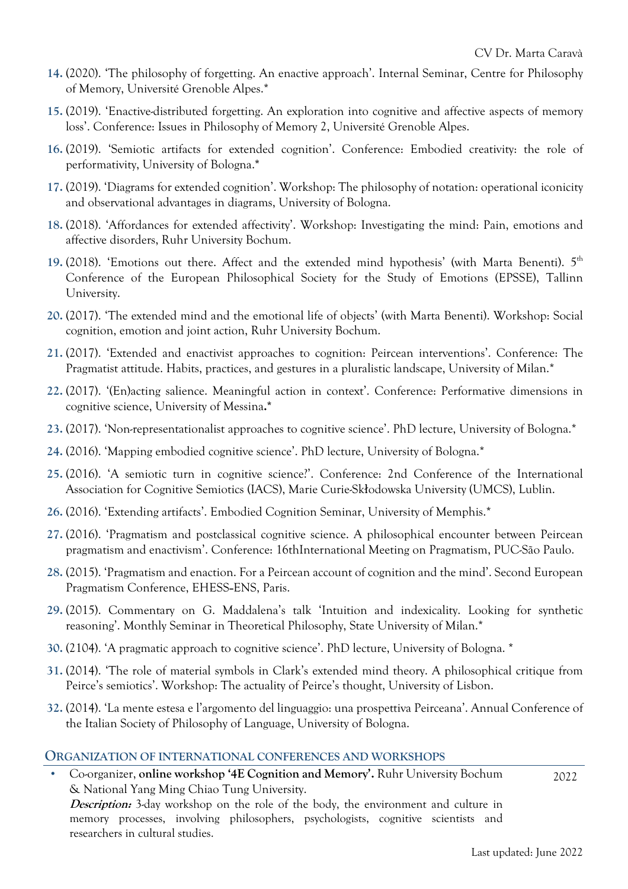- **14.** (2020). 'The philosophy of forgetting. An enactive approach'. Internal Seminar, Centre for Philosophy of Memory, Université Grenoble Alpes.\*
- **15.** (2019). 'Enactive-distributed forgetting. An exploration into cognitive and affective aspects of memory loss'. Conference: Issues in Philosophy of Memory 2, Université Grenoble Alpes.
- **16.** (2019). 'Semiotic artifacts for extended cognition'. Conference: Embodied creativity: the role of performativity, University of Bologna.**\***
- **17.** (2019). 'Diagrams for extended cognition'. Workshop: The philosophy of notation: operational iconicity and observational advantages in diagrams, University of Bologna.
- **18.** (2018). 'Affordances for extended affectivity'. Workshop: Investigating the mind: Pain, emotions and affective disorders, Ruhr University Bochum.
- **19.** (2018). 'Emotions out there. Affect and the extended mind hypothesis' (with Marta Benenti). 5th Conference of the European Philosophical Society for the Study of Emotions (EPSSE), Tallinn University.
- **20.** (2017). 'The extended mind and the emotional life of objects' (with Marta Benenti). Workshop: Social cognition, emotion and joint action, Ruhr University Bochum.
- **21.** (2017). 'Extended and enactivist approaches to cognition: Peircean interventions'. Conference: The Pragmatist attitude. Habits, practices, and gestures in a pluralistic landscape, University of Milan.\*
- **22.** (2017). '(En)acting salience. Meaningful action in context'. Conference: Performative dimensions in cognitive science, University of Messina**.\***
- **23.** (2017). 'Non-representationalist approaches to cognitive science'. PhD lecture, University of Bologna.\*
- **24.** (2016). 'Mapping embodied cognitive science'. PhD lecture, University of Bologna.\*
- **25.** (2016). 'A semiotic turn in cognitive science?'. Conference: 2nd Conference of the International Association for Cognitive Semiotics (IACS), Marie Curie-Skłodowska University (UMCS), Lublin.
- **26.** (2016). 'Extending artifacts'. Embodied Cognition Seminar, University of Memphis.\*
- **27.** (2016). 'Pragmatism and postclassical cognitive science. A philosophical encounter between Peircean pragmatism and enactivism'. Conference: 16thInternational Meeting on Pragmatism, PUC-São Paulo.
- **28.** (2015). 'Pragmatism and enaction. For a Peircean account of cognition and the mind'. Second European Pragmatism Conference, EHESS-ENS, Paris.
- **29.** (2015). Commentary on G. Maddalena's talk 'Intuition and indexicality. Looking for synthetic reasoning'. Monthly Seminar in Theoretical Philosophy, State University of Milan.\*
- **30.** (2104). 'A pragmatic approach to cognitive science'. PhD lecture, University of Bologna. \*
- **31.** (2014). 'The role of material symbols in Clark's extended mind theory. A philosophical critique from Peirce's semiotics'. Workshop: The actuality of Peirce's thought, University of Lisbon.
- **32.** (2014). 'La mente estesa e l'argomento del linguaggio: una prospettiva Peirceana'. Annual Conference of the Italian Society of Philosophy of Language, University of Bologna.

#### **ORGANIZATION OF INTERNATIONAL CONFERENCES AND WORKSHOPS**

• Co-organizer, **online workshop '4E Cognition and Memory'.** Ruhr University Bochum & National Yang Ming Chiao Tung University. **Description:** 3-day workshop on the role of the body, the environment and culture in memory processes, involving philosophers, psychologists, cognitive scientists and researchers in cultural studies.

2022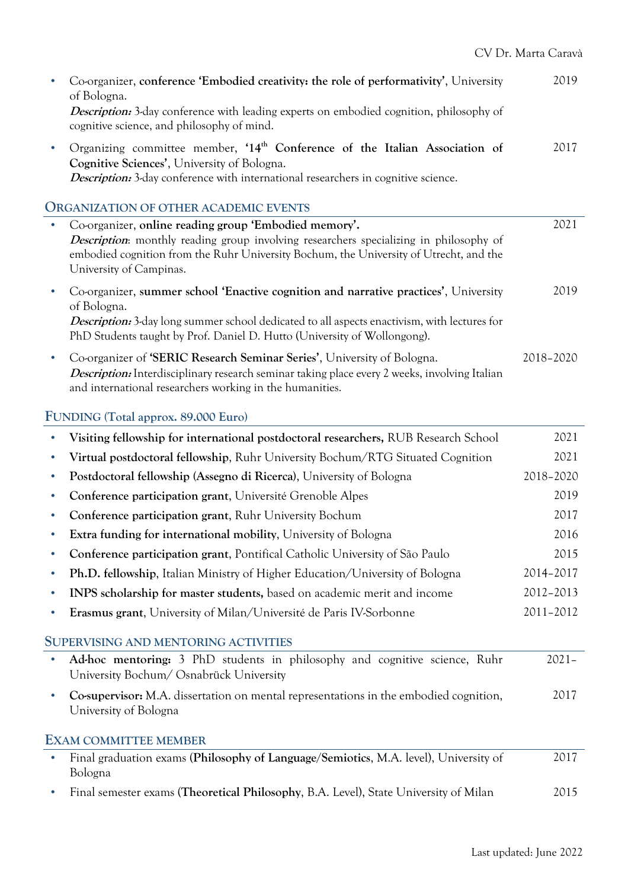|           | Co-organizer, conference 'Embodied creativity: the role of performativity', University<br>of Bologna.                                                                                                                                                                           | 2019      |
|-----------|---------------------------------------------------------------------------------------------------------------------------------------------------------------------------------------------------------------------------------------------------------------------------------|-----------|
|           | <i>Description:</i> 3-day conference with leading experts on embodied cognition, philosophy of<br>cognitive science, and philosophy of mind.                                                                                                                                    |           |
| $\bullet$ | Organizing committee member, '14 <sup>th</sup> Conference of the Italian Association of<br>Cognitive Sciences', University of Bologna.<br>Description: 3-day conference with international researchers in cognitive science.                                                    | 2017      |
|           | <b>ORGANIZATION OF OTHER ACADEMIC EVENTS</b>                                                                                                                                                                                                                                    |           |
| $\bullet$ | Co-organizer, online reading group 'Embodied memory'.<br><b>Description:</b> monthly reading group involving researchers specializing in philosophy of<br>embodied cognition from the Ruhr University Bochum, the University of Utrecht, and the<br>University of Campinas.     | 2021      |
|           | Co-organizer, summer school 'Enactive cognition and narrative practices', University<br>of Bologna.<br>Description: 3-day long summer school dedicated to all aspects enactivism, with lectures for<br>PhD Students taught by Prof. Daniel D. Hutto (University of Wollongong). | 2019      |
| $\bullet$ | Co-organizer of 'SERIC Research Seminar Series', University of Bologna.<br><i>Description:</i> Interdisciplinary research seminar taking place every 2 weeks, involving Italian<br>and international researchers working in the humanities.                                     | 2018-2020 |
|           | FUNDING (Total approx. 89.000 Euro)                                                                                                                                                                                                                                             |           |
|           | Visiting fellowship for international postdoctoral researchers, RUB Research School                                                                                                                                                                                             | 2021      |
|           | Virtual postdoctoral fellowship, Ruhr University Bochum/RTG Situated Cognition                                                                                                                                                                                                  | 2021      |
| $\bullet$ | Postdoctoral fellowship (Assegno di Ricerca), University of Bologna                                                                                                                                                                                                             | 2018-2020 |
| $\bullet$ | Conference participation grant, Université Grenoble Alpes                                                                                                                                                                                                                       | 2019      |
|           | Conference participation grant, Ruhr University Bochum                                                                                                                                                                                                                          | 2017      |
|           | <b>Extra funding for international mobility, University of Bologna</b>                                                                                                                                                                                                          | 2016      |
|           | Conference participation grant, Pontifical Catholic University of São Paulo                                                                                                                                                                                                     | 2015      |
| $\bullet$ | <b>Ph.D. fellowship, Italian Ministry of Higher Education/University of Bologna</b>                                                                                                                                                                                             | 2014-2017 |
| $\bullet$ | INPS scholarship for master students, based on academic merit and income                                                                                                                                                                                                        | 2012-2013 |
| ٠         | Erasmus grant, University of Milan/Université de Paris IV-Sorbonne                                                                                                                                                                                                              | 2011-2012 |
|           | <b>SUPERVISING AND MENTORING ACTIVITIES</b>                                                                                                                                                                                                                                     |           |
|           | Ad-hoc mentoring: 3 PhD students in philosophy and cognitive science, Ruhr<br>University Bochum/ Osnabrück University                                                                                                                                                           | $2021 -$  |
|           | Co-supervisor: M.A. dissertation on mental representations in the embodied cognition,<br>University of Bologna                                                                                                                                                                  | 2017      |
|           | <b>EXAM COMMITTEE MEMBER</b>                                                                                                                                                                                                                                                    |           |
|           | Final graduation exams (Philosophy of Language/Semiotics, M.A. level), University of                                                                                                                                                                                            | 2017      |

Bologna • Final semester exams (**Theoretical Philosophy**, B.A. Level), State University of Milan 2015